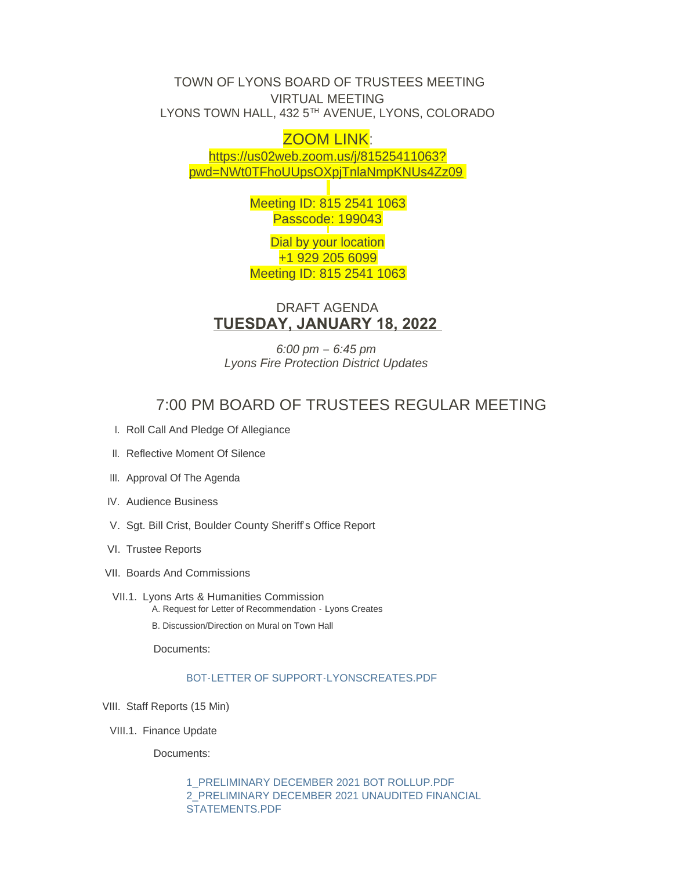TOWN OF LYONS BOARD OF TRUSTEES MEETING VIRTUAL MEETING LYONS TOWN HALL, 432 5 $^{\text{\tiny{\textsf{TH}}}}$  AVENUE, LYONS, COLORADO

# ZOOM LINK:

https://us02web.zoom.us/j/81525411063? pw[d=NWt0TFhoUUpsOXpjTnlaNmpKNUs4Zz09](https://us02web.zoom.us/j/81525411063?pwd=NWt0TFhoUUpsOXpjTnlaNmpKNUs4Zz09)

> Meeting ID: 815 2541 1063 Passcode: 199043

> Dial by your location +1 929 205 6099 Meeting ID: 815 2541 1063

DRAFT AGENDA **TUESDAY, JANUARY 18, 2022** 

*6:00 pm – 6:45 pm Lyons Fire Protection District Updates*

# 7:00 PM BOARD OF TRUSTEES REGULAR MEETING

- I. Roll Call And Pledge Of Allegiance
- II. Reflective Moment Of Silence
- III. Approval Of The Agenda
- IV. Audience Business
- V. Sgt. Bill Crist, Boulder County Sheriff's Office Report
- VI. Trustee Reports
- VII. Boards And Commissions
- VII.1. Lyons Arts & Humanities Commission A. Request for Letter of Recommendation - Lyons Creates
	- B. Discussion/Direction on Mural on Town Hall

Documents:

## [BOT-LETTER OF SUPPORT-LYONSCREATES.PDF](https://www.townoflyons.com/AgendaCenter/ViewFile/Item/9700?fileID=19903)

- VIII. Staff Reports (15 Min)
- VIII.1. Finance Update

Documents:

[1\\_PRELIMINARY DECEMBER 2021 BOT ROLLUP.PDF](https://www.townoflyons.com/AgendaCenter/ViewFile/Item/9701?fileID=19900) [2\\_PRELIMINARY DECEMBER 2021 UNAUDITED FINANCIAL](https://www.townoflyons.com/AgendaCenter/ViewFile/Item/9701?fileID=19901)  STATEMENTS.PDF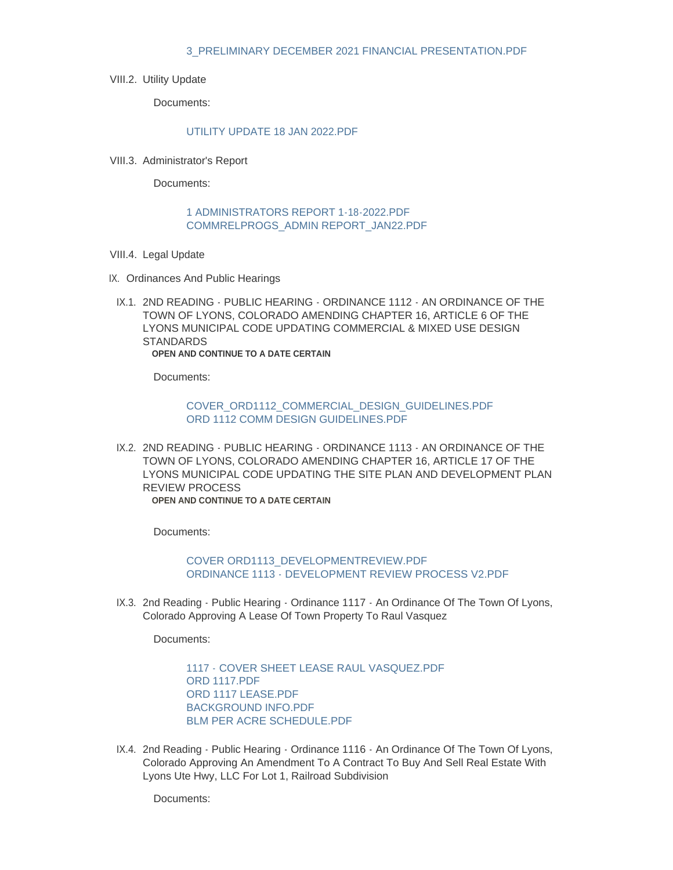#### [3\\_PRELIMINARY DECEMBER 2021 FINANCIAL PRESENTATION.PDF](https://www.townoflyons.com/AgendaCenter/ViewFile/Item/9701?fileID=19902)

VIII.2. Utility Update

Documents:

#### [UTILITY UPDATE 18 JAN 2022.PDF](https://www.townoflyons.com/AgendaCenter/ViewFile/Item/9702?fileID=19921)

VIII.3. Administrator's Report

Documents:

#### [1 ADMINISTRATORS REPORT 1-18-2022.PDF](https://www.townoflyons.com/AgendaCenter/ViewFile/Item/9703?fileID=19897) [COMMRELPROGS\\_ADMIN REPORT\\_JAN22.PDF](https://www.townoflyons.com/AgendaCenter/ViewFile/Item/9703?fileID=19896)

- VIII.4. Legal Update
- IX. Ordinances And Public Hearings
- IX.1. 2ND READING PUBLIC HEARING ORDINANCE 1112 AN ORDINANCE OF THE TOWN OF LYONS, COLORADO AMENDING CHAPTER 16, ARTICLE 6 OF THE LYONS MUNICIPAL CODE UPDATING COMMERCIAL & MIXED USE DESIGN **STANDARDS OPEN AND CONTINUE TO A DATE CERTAIN**

Documents:

### [COVER\\_ORD1112\\_COMMERCIAL\\_DESIGN\\_GUIDELINES.PDF](https://www.townoflyons.com/AgendaCenter/ViewFile/Item/9705?fileID=19912) [ORD 1112 COMM DESIGN GUIDELINES.PDF](https://www.townoflyons.com/AgendaCenter/ViewFile/Item/9705?fileID=19913)

IX.2. 2ND READING - PUBLIC HEARING - ORDINANCE 1113 - AN ORDINANCE OF THE TOWN OF LYONS, COLORADO AMENDING CHAPTER 16, ARTICLE 17 OF THE LYONS MUNICIPAL CODE UPDATING THE SITE PLAN AND DEVELOPMENT PLAN REVIEW PROCESS **OPEN AND CONTINUE TO A DATE CERTAIN**

Documents:

[COVER ORD1113\\_DEVELOPMENTREVIEW.PDF](https://www.townoflyons.com/AgendaCenter/ViewFile/Item/9706?fileID=19914) [ORDINANCE 1113 - DEVELOPMENT REVIEW PROCESS V2.PDF](https://www.townoflyons.com/AgendaCenter/ViewFile/Item/9706?fileID=19915)

IX.3. 2nd Reading - Public Hearing - Ordinance 1117 - An Ordinance Of The Town Of Lyons, Colorado Approving A Lease Of Town Property To Raul Vasquez

Documents:

1117 - COVER SHEET LEASE RAUL VASQUEZ PDE [ORD 1117.PDF](https://www.townoflyons.com/AgendaCenter/ViewFile/Item/9707?fileID=19895) ORD 1117 LEASE PDF [BACKGROUND INFO.PDF](https://www.townoflyons.com/AgendaCenter/ViewFile/Item/9707?fileID=19892) [BLM PER ACRE SCHEDULE.PDF](https://www.townoflyons.com/AgendaCenter/ViewFile/Item/9707?fileID=19893)

IX.4. 2nd Reading - Public Hearing - Ordinance 1116 - An Ordinance Of The Town Of Lyons, Colorado Approving An Amendment To A Contract To Buy And Sell Real Estate With Lyons Ute Hwy, LLC For Lot 1, Railroad Subdivision

Documents: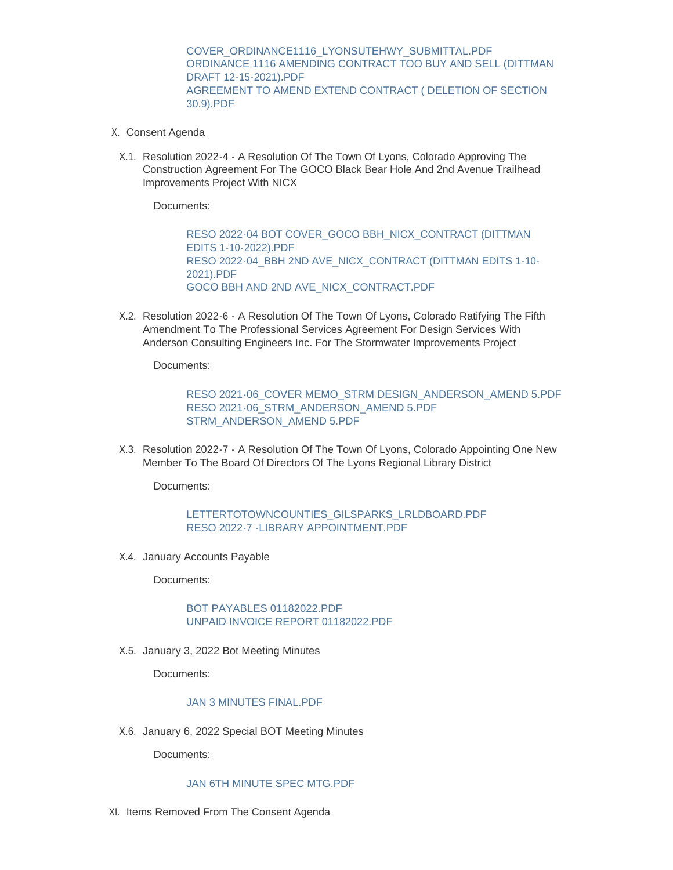[COVER\\_ORDINANCE1116\\_LYONSUTEHWY\\_SUBMITTAL.PDF](https://www.townoflyons.com/AgendaCenter/ViewFile/Item/9708?fileID=19888) [ORDINANCE 1116 AMENDING CONTRACT TOO BUY AND SELL \(DITTMAN](https://www.townoflyons.com/AgendaCenter/ViewFile/Item/9708?fileID=19889)  DRAFT 12-15-2021).PDF [AGREEMENT TO AMEND EXTEND CONTRACT \( DELETION OF SECTION](https://www.townoflyons.com/AgendaCenter/ViewFile/Item/9708?fileID=19890)  30.9).PDF

- X. Consent Agenda
- X.1. Resolution 2022-4 A Resolution Of The Town Of Lyons, Colorado Approving The Construction Agreement For The GOCO Black Bear Hole And 2nd Avenue Trailhead Improvements Project With NICX

Documents:

[RESO 2022-04 BOT COVER\\_GOCO BBH\\_NICX\\_CONTRACT \(DITTMAN](https://www.townoflyons.com/AgendaCenter/ViewFile/Item/9709?fileID=19904)  EDITS 1-10-2022).PDF [RESO 2022-04\\_BBH 2ND AVE\\_NICX\\_CONTRACT \(DITTMAN EDITS 1-10-](https://www.townoflyons.com/AgendaCenter/ViewFile/Item/9709?fileID=19905) 2021).PDF [GOCO BBH AND 2ND AVE\\_NICX\\_CONTRACT.PDF](https://www.townoflyons.com/AgendaCenter/ViewFile/Item/9709?fileID=19906)

X.2. Resolution 2022-6 - A Resolution Of The Town Of Lyons, Colorado Ratifying The Fifth Amendment To The Professional Services Agreement For Design Services With Anderson Consulting Engineers Inc. For The Stormwater Improvements Project

Documents:

[RESO 2021-06\\_COVER MEMO\\_STRM DESIGN\\_ANDERSON\\_AMEND 5.PDF](https://www.townoflyons.com/AgendaCenter/ViewFile/Item/9711?fileID=19916) [RESO 2021-06\\_STRM\\_ANDERSON\\_AMEND 5.PDF](https://www.townoflyons.com/AgendaCenter/ViewFile/Item/9711?fileID=19917) [STRM\\_ANDERSON\\_AMEND 5.PDF](https://www.townoflyons.com/AgendaCenter/ViewFile/Item/9711?fileID=19918)

X.3. Resolution 2022-7 - A Resolution Of The Town Of Lyons, Colorado Appointing One New Member To The Board Of Directors Of The Lyons Regional Library District

Documents:

## [LETTERTOTOWNCOUNTIES\\_GILSPARKS\\_LRLDBOARD.PDF](https://www.townoflyons.com/AgendaCenter/ViewFile/Item/9712?fileID=19907) [RESO 2022-7 -LIBRARY APPOINTMENT.PDF](https://www.townoflyons.com/AgendaCenter/ViewFile/Item/9712?fileID=19908)

X.4. January Accounts Payable

Documents:

#### [BOT PAYABLES 01182022.PDF](https://www.townoflyons.com/AgendaCenter/ViewFile/Item/9713?fileID=19919) [UNPAID INVOICE REPORT 01182022.PDF](https://www.townoflyons.com/AgendaCenter/ViewFile/Item/9713?fileID=19920)

X.5. January 3, 2022 Bot Meeting Minutes

Documents:

#### [JAN 3 MINUTES FINAL.PDF](https://www.townoflyons.com/AgendaCenter/ViewFile/Item/9714?fileID=19865)

X.6. January 6, 2022 Special BOT Meeting Minutes

Documents:

## [JAN 6TH MINUTE SPEC MTG.PDF](https://www.townoflyons.com/AgendaCenter/ViewFile/Item/9715?fileID=19866)

XI. Items Removed From The Consent Agenda